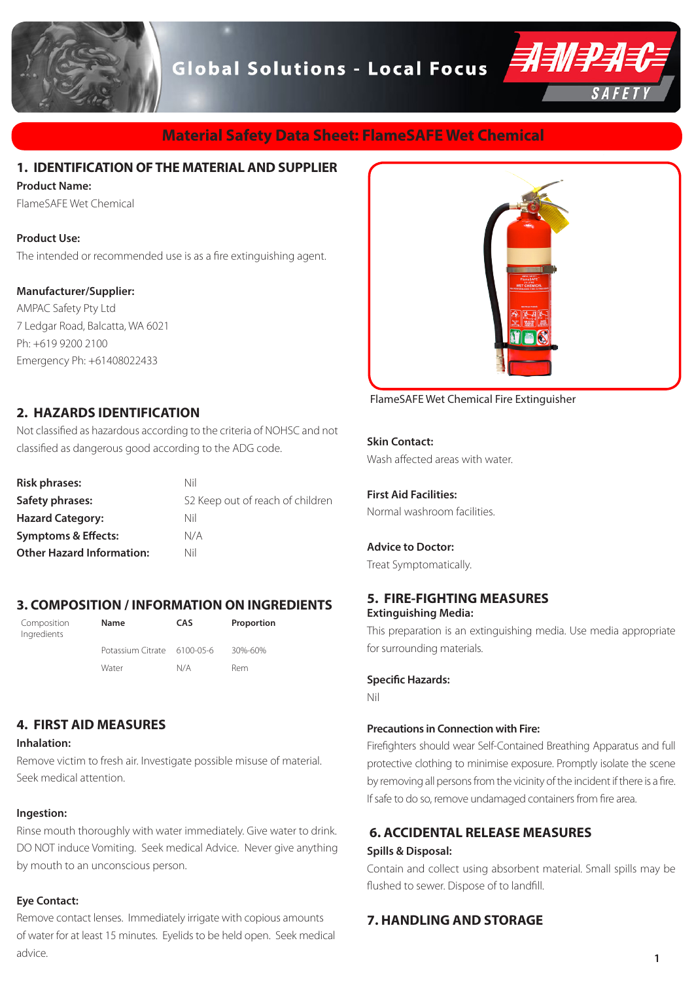**Global Solutions - Local Focus** 



# **Material Safety Data Sheet: FlameSAFE Wet Chemical**

# **1. IDENTIFICATION OF THE MATERIAL AND SUPPLIER**

#### **Product Name:**

FlameSAFE Wet Chemical

#### **Product Use:**

The intended or recommended use is as a fire extinguishing agent.

## **Manufacturer/Supplier:**

AMPAC Safety Pty Ltd 7 Ledgar Road, Balcatta, WA 6021 Ph: +619 9200 2100 Emergency Ph: +61408022433

# **2. HAZARDS IDENTIFICATION**

Not classified as hazardous according to the criteria of NOHSC and not classified as dangerous good according to the ADG code.

| <b>Risk phrases:</b>             | Nil                              |
|----------------------------------|----------------------------------|
| Safety phrases:                  | S2 Keep out of reach of children |
| <b>Hazard Category:</b>          | Nil                              |
| <b>Symptoms &amp; Effects:</b>   | N/A                              |
| <b>Other Hazard Information:</b> | Nil                              |

## **3. COMPOSITION / INFORMATION ON INGREDIENTS**

| Composition<br>Ingredients | <b>Name</b>                 | CAS | Proportion |
|----------------------------|-----------------------------|-----|------------|
|                            | Potassium Citrate 6100-05-6 |     | 30%-60%    |
|                            | Water                       | N/A | Rem        |

# **4. FIRST AID MEASURES**

#### **Inhalation:**

Remove victim to fresh air. Investigate possible misuse of material. Seek medical attention.

### **Ingestion:**

Rinse mouth thoroughly with water immediately. Give water to drink. DO NOT induce Vomiting. Seek medical Advice. Never give anything by mouth to an unconscious person.

### **Eye Contact:**

Remove contact lenses. Immediately irrigate with copious amounts of water for at least 15 minutes. Eyelids to be held open. Seek medical advice.



FlameSAFE Wet Chemical Fire Extinguisher

**Skin Contact:** Wash affected areas with water.

**First Aid Facilities:** Normal washroom facilities.

### **Advice to Doctor:**

Treat Symptomatically.

## **5. FIRE-FIGHTING MEASURES Extinguishing Media:**

This preparation is an extinguishing media. Use media appropriate for surrounding materials.

**Specific Hazards:**

Nil

### **Precautions in Connection with Fire:**

Firefighters should wear Self-Contained Breathing Apparatus and full protective clothing to minimise exposure. Promptly isolate the scene by removing all persons from the vicinity of the incident if there is a fire. If safe to do so, remove undamaged containers from fire area.

# **6. ACCIDENTAL RELEASE MEASURES Spills & Disposal:**

Contain and collect using absorbent material. Small spills may be flushed to sewer. Dispose of to landfill.

# **7. HANDLING AND STORAGE**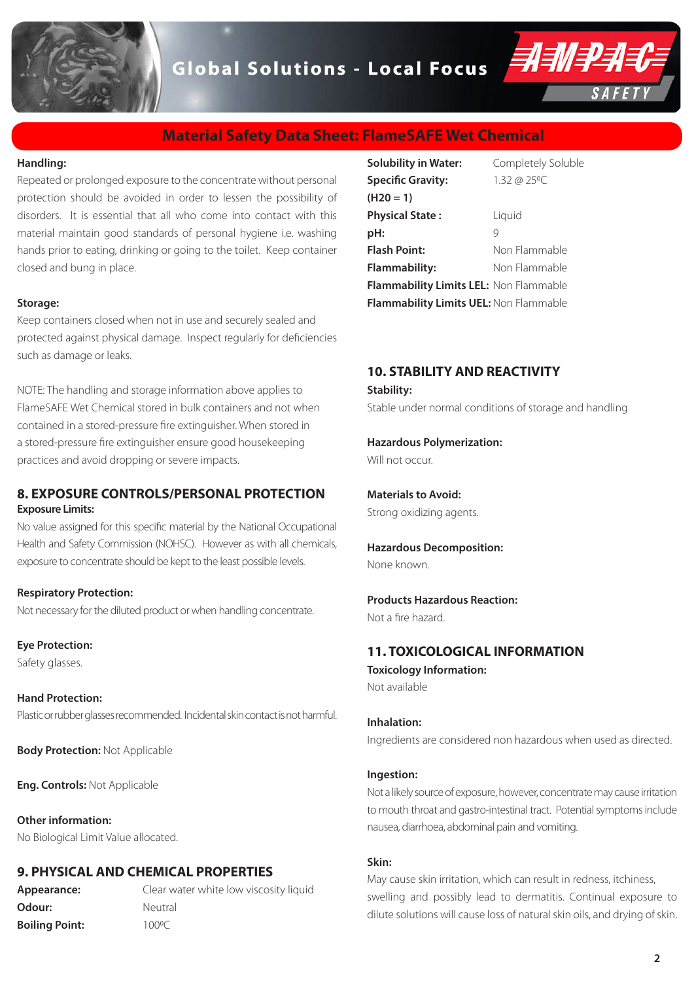# **Global Solutions - Local Focus**



# **Material Safety Data Sheet: FlameSAFE Wet Chemical**

#### **Handling:**

Repeated or prolonged exposure to the concentrate without personal protection should be avoided in order to lessen the possibility of disorders. It is essential that all who come into contact with this material maintain good standards of personal hygiene i.e. washing hands prior to eating, drinking or going to the toilet. Keep container closed and bung in place.

#### **Storage:**

Keep containers closed when not in use and securely sealed and protected against physical damage. Inspect regularly for deficiencies such as damage or leaks.

NOTE: The handling and storage information above applies to FlameSAFE Wet Chemical stored in bulk containers and not when contained in a stored-pressure fire extinguisher. When stored in a stored-pressure fire extinguisher ensure good housekeeping practices and avoid dropping or severe impacts.

## **8. EXPOSURE CONTROLS/PERSONAL PROTECTION Exposure Limits:**

No value assigned for this specific material by the National Occupational Health and Safety Commission (NOHSC). However as with all chemicals, exposure to concentrate should be kept to the least possible levels.

#### **Respiratory Protection:**

Not necessary for the diluted product or when handling concentrate.

**Eye Protection:** Safety glasses.

**Hand Protection:**  Plastic or rubber glasses recommended. Incidental skin contact is not harmful.

**Body Protection:** Not Applicable

**Eng. Controls:** Not Applicable

**Other information:** No Biological Limit Value allocated.

### **9. PHYSICAL AND CHEMICAL PROPERTIES**

**Odour:** Neutral **Boiling Point:** 100°C

**Appearance:** Clear water white low viscosity liquid

| <b>Solubility in Water:</b>            | Completely Soluble |
|----------------------------------------|--------------------|
| <b>Specific Gravity:</b>               | 1.32 @ 25°C        |
| $(H20 = 1)$                            |                    |
| <b>Physical State:</b>                 | Liquid             |
| pH:                                    | 9                  |
| <b>Flash Point:</b>                    | Non Flammable      |
| Flammability:                          | Non Flammable      |
| Flammability Limits LEL: Non Flammable |                    |
| Flammability Limits UEL: Non Flammable |                    |

# **10. STABILITY AND REACTIVITY**

#### **Stability:**

Stable under normal conditions of storage and handling

**Hazardous Polymerization:** 

Will not occur.

**Materials to Avoid:**  Strong oxidizing agents.

#### **Hazardous Decomposition:**  None known.

## **Products Hazardous Reaction:**

Not a fire hazard.

### **11. TOXICOLOGICAL INFORMATION**

**Toxicology Information:** Not available

#### **Inhalation:**

Ingredients are considered non hazardous when used as directed.

#### **Ingestion:**

Not a likely source of exposure, however, concentrate may cause irritation to mouth throat and gastro-intestinal tract. Potential symptoms include nausea, diarrhoea, abdominal pain and vomiting.

## **Skin:**

May cause skin irritation, which can result in redness, itchiness, swelling and possibly lead to dermatitis. Continual exposure to dilute solutions will cause loss of natural skin oils, and drying of skin.